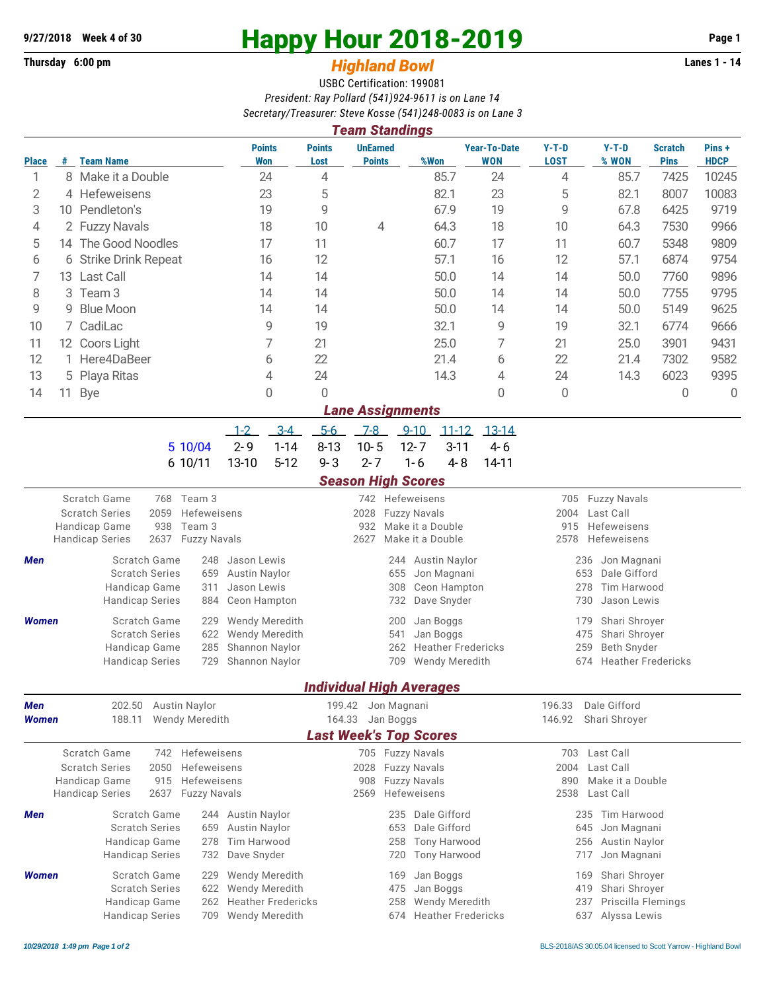## **Thursday 6:00 pm** *Highland Bowl*

## **9/27/2018** Week 4 of 30<br>
Thursday 6:00 pm<br> **Happy Hour 2018-2019 Page 1**<br> **Highland Rowl**

## USBC Certification: 199081 *President: Ray Pollard (541)924-9611 is on Lane 14 Secretary/Treasurer: Steve Kosse (541)248-0083 is on Lane 3*

| <b>Team Standings</b>                                                                                                                                                           |                        |                                                                                                                                                                          |                                                                                     |                                                                                              |                                                                                                      |                                                                                |           |                                                   |                                                                                                        |                                                                                    |                               |                      |  |  |
|---------------------------------------------------------------------------------------------------------------------------------------------------------------------------------|------------------------|--------------------------------------------------------------------------------------------------------------------------------------------------------------------------|-------------------------------------------------------------------------------------|----------------------------------------------------------------------------------------------|------------------------------------------------------------------------------------------------------|--------------------------------------------------------------------------------|-----------|---------------------------------------------------|--------------------------------------------------------------------------------------------------------|------------------------------------------------------------------------------------|-------------------------------|----------------------|--|--|
| <b>Place</b>                                                                                                                                                                    | #                      | <b>Team Name</b>                                                                                                                                                         | <b>Points</b><br>Won                                                                | <b>Points</b><br>Lost                                                                        | <b>UnEarned</b><br><b>Points</b>                                                                     | %Won                                                                           |           | <b>Year-To-Date</b><br><b>WON</b>                 | $Y-T-D$<br><b>LOST</b>                                                                                 | $Y-T-D$<br>% WON                                                                   | <b>Scratch</b><br><b>Pins</b> | Pins+<br><b>HDCP</b> |  |  |
| 1                                                                                                                                                                               |                        | 8 Make it a Double                                                                                                                                                       | 24                                                                                  | 4                                                                                            |                                                                                                      | 85.7                                                                           |           | 24                                                | 4                                                                                                      | 85.7                                                                               | 7425                          | 10245                |  |  |
| 2                                                                                                                                                                               |                        | 4 Hefeweisens                                                                                                                                                            | 23                                                                                  | 5                                                                                            |                                                                                                      | 82.1                                                                           |           | 23                                                | 5                                                                                                      | 82.1                                                                               | 8007                          | 10083                |  |  |
| 3                                                                                                                                                                               |                        | 10 Pendleton's                                                                                                                                                           | 19                                                                                  | 9                                                                                            |                                                                                                      | 67.9                                                                           |           | 19                                                | 9                                                                                                      | 67.8                                                                               | 6425                          | 9719                 |  |  |
| 4                                                                                                                                                                               |                        | 2 Fuzzy Navals                                                                                                                                                           | 18                                                                                  | 10                                                                                           | 4                                                                                                    | 64.3                                                                           |           | 18                                                | 10                                                                                                     | 64.3                                                                               | 7530                          | 9966                 |  |  |
| 5                                                                                                                                                                               | 14 The Good Noodles    |                                                                                                                                                                          | 17                                                                                  | 11                                                                                           |                                                                                                      | 60.7                                                                           |           | 17                                                | 11                                                                                                     | 60.7                                                                               | 5348                          | 9809                 |  |  |
| 6                                                                                                                                                                               | 6 Strike Drink Repeat  |                                                                                                                                                                          | 16                                                                                  | 12                                                                                           |                                                                                                      | 57.1                                                                           |           | 16                                                | 12                                                                                                     | 57.1                                                                               | 6874                          | 9754                 |  |  |
| 7                                                                                                                                                                               | 13 Last Call           |                                                                                                                                                                          | 14                                                                                  | 14                                                                                           |                                                                                                      | 50.0                                                                           |           | 14                                                | 14                                                                                                     | 50.0                                                                               | 7760                          | 9896                 |  |  |
| 8                                                                                                                                                                               | Team <sub>3</sub><br>3 |                                                                                                                                                                          | 14                                                                                  | 14                                                                                           |                                                                                                      | 50.0                                                                           |           | 14                                                | 14                                                                                                     | 50.0                                                                               | 7755                          | 9795                 |  |  |
| 9                                                                                                                                                                               | 9                      | <b>Blue Moon</b>                                                                                                                                                         | 14                                                                                  | 14                                                                                           |                                                                                                      | 50.0                                                                           |           | 14                                                | 14                                                                                                     | 50.0                                                                               | 5149                          | 9625                 |  |  |
| 10                                                                                                                                                                              |                        | 7 CadiLac                                                                                                                                                                | 9                                                                                   | 19                                                                                           |                                                                                                      | 32.1                                                                           |           | 9                                                 | 19                                                                                                     | 32.1                                                                               | 6774                          | 9666                 |  |  |
| 11                                                                                                                                                                              | 12 Coors Light         |                                                                                                                                                                          | 7                                                                                   | 21                                                                                           |                                                                                                      | 25.0                                                                           |           | 7                                                 | 21                                                                                                     | 25.0                                                                               | 3901                          | 9431                 |  |  |
| 12                                                                                                                                                                              | Here4DaBeer<br>1.      |                                                                                                                                                                          | 6                                                                                   | 22                                                                                           |                                                                                                      | 21.4                                                                           |           | 6                                                 | 22                                                                                                     | 21.4                                                                               | 7302                          | 9582                 |  |  |
| 13                                                                                                                                                                              | Playa Ritas<br>5       |                                                                                                                                                                          | 4                                                                                   | 24                                                                                           |                                                                                                      | 14.3                                                                           |           | 4                                                 | 24                                                                                                     | 14.3                                                                               | 6023                          | 9395                 |  |  |
| 14                                                                                                                                                                              | 11                     | <b>Bye</b>                                                                                                                                                               | 0                                                                                   | 0                                                                                            |                                                                                                      |                                                                                |           | 0                                                 | 0                                                                                                      |                                                                                    | $\mathbf 0$                   | $\overline{0}$       |  |  |
|                                                                                                                                                                                 |                        |                                                                                                                                                                          |                                                                                     |                                                                                              | <b>Lane Assignments</b>                                                                              |                                                                                |           |                                                   |                                                                                                        |                                                                                    |                               |                      |  |  |
|                                                                                                                                                                                 |                        |                                                                                                                                                                          | $3-4$<br>$1 - 2$                                                                    | $5-6$                                                                                        | $7 - 8$                                                                                              | $9 - 10$                                                                       | $11 - 12$ | $13 - 14$                                         |                                                                                                        |                                                                                    |                               |                      |  |  |
|                                                                                                                                                                                 |                        | 5 10/04                                                                                                                                                                  | $2 - 9$<br>$1 - 14$                                                                 | $8 - 13$                                                                                     | $10 - 5$                                                                                             | $12 - 7$                                                                       | $3 - 11$  | $4-6$                                             |                                                                                                        |                                                                                    |                               |                      |  |  |
|                                                                                                                                                                                 |                        | 6 10/11                                                                                                                                                                  | 13-10<br>$5 - 12$                                                                   | $9 - 3$                                                                                      | $2 - 7$                                                                                              | $1 - 6$                                                                        | $4 - 8$   | 14-11                                             |                                                                                                        |                                                                                    |                               |                      |  |  |
|                                                                                                                                                                                 |                        |                                                                                                                                                                          |                                                                                     |                                                                                              | <b>Season High Scores</b>                                                                            |                                                                                |           |                                                   |                                                                                                        |                                                                                    |                               |                      |  |  |
|                                                                                                                                                                                 |                        | Scratch Game<br>768<br>Team 3<br><b>Scratch Series</b><br>2059<br>Hefeweisens<br>938<br>Handicap Game<br>Team 3<br>2637<br><b>Fuzzy Navals</b><br><b>Handicap Series</b> |                                                                                     |                                                                                              | 2028<br>932<br>2627                                                                                  | 742 Hefeweisens<br><b>Fuzzy Navals</b><br>Make it a Double<br>Make it a Double |           |                                                   | <b>Fuzzy Navals</b><br>705<br>Last Call<br>2004<br>Hefeweisens<br>915<br>Hefeweisens<br>2578           |                                                                                    |                               |                      |  |  |
| Scratch Game<br>248<br>Men<br><b>Scratch Series</b><br>659<br>Handicap Game<br>311<br><b>Handicap Series</b><br>884                                                             |                        |                                                                                                                                                                          | Jason Lewis<br><b>Austin Naylor</b><br>Jason Lewis<br>Ceon Hampton                  |                                                                                              | 655<br>308<br>732                                                                                    | <b>Austin Naylor</b><br>244<br>Jon Magnani<br>Ceon Hampton<br>Dave Snyder      |           |                                                   | 236<br>Jon Magnani<br>Dale Gifford<br>653<br>278<br>Tim Harwood<br>730<br>Jason Lewis                  |                                                                                    |                               |                      |  |  |
| <b>Women</b>                                                                                                                                                                    |                        | Scratch Game<br>229<br><b>Scratch Series</b><br>622<br>Handicap Game<br>285<br><b>Handicap Series</b><br>729                                                             | <b>Wendy Meredith</b><br>Wendy Meredith<br>Shannon Naylor<br>Shannon Naylor         |                                                                                              | Jan Boggs<br>200<br>Jan Boggs<br>541<br><b>Heather Fredericks</b><br>262<br>Wendy Meredith<br>709    |                                                                                |           |                                                   | Shari Shroyer<br>179<br>Shari Shroyer<br>475<br>259<br>Beth Snyder<br><b>Heather Fredericks</b><br>674 |                                                                                    |                               |                      |  |  |
|                                                                                                                                                                                 |                        |                                                                                                                                                                          |                                                                                     |                                                                                              |                                                                                                      | <u>Individual High Averages</u>                                                |           |                                                   |                                                                                                        |                                                                                    |                               |                      |  |  |
| Men<br>Women                                                                                                                                                                    |                        | 202.50 Austin Naylor<br>Wendy Meredith<br>188.11                                                                                                                         |                                                                                     |                                                                                              | 199.42 Jon Magnani<br>164.33 Jan Boggs<br><b>Last Week's Top Scores</b>                              |                                                                                |           | 196.33<br>Dale Gifford<br>146.92<br>Shari Shroyer |                                                                                                        |                                                                                    |                               |                      |  |  |
| Scratch Game<br>742 Hefeweisens<br>2050<br><b>Scratch Series</b><br>Hefeweisens<br>Handicap Game<br>915<br>Hefeweisens<br>2637<br><b>Handicap Series</b><br><b>Fuzzy Navals</b> |                        |                                                                                                                                                                          |                                                                                     |                                                                                              | 705 Fuzzy Navals<br>2028<br><b>Fuzzy Navals</b><br>908<br><b>Fuzzy Navals</b><br>Hefeweisens<br>2569 |                                                                                |           |                                                   |                                                                                                        | 703 Last Call<br>2004<br>Last Call<br>890<br>Make it a Double<br>2538<br>Last Call |                               |                      |  |  |
| Men                                                                                                                                                                             |                        | Scratch Game<br><b>Scratch Series</b><br>659<br>Handicap Game<br>278<br><b>Handicap Series</b><br>732                                                                    | 244 Austin Naylor<br><b>Austin Naylor</b><br>Tim Harwood<br>Dave Snyder             | 235 Dale Gifford<br>653<br>Dale Gifford<br><b>Tony Harwood</b><br>258<br>Tony Harwood<br>720 |                                                                                                      |                                                                                |           |                                                   | 235 Tim Harwood<br>645<br>Jon Magnani<br>256<br>Austin Naylor<br>Jon Magnani<br>717                    |                                                                                    |                               |                      |  |  |
| <b>Women</b>                                                                                                                                                                    |                        | Scratch Game<br>229<br><b>Scratch Series</b><br>622<br>Handicap Game<br>262<br><b>Handicap Series</b>                                                                    | Wendy Meredith<br>Wendy Meredith<br><b>Heather Fredericks</b><br>709 Wendy Meredith |                                                                                              | Jan Boggs<br>169<br>Jan Boggs<br>475<br>Wendy Meredith<br>258<br>674 Heather Fredericks              |                                                                                |           |                                                   | Shari Shroyer<br>169<br>Shari Shroyer<br>419<br>Priscilla Flemings<br>237<br>637 Alyssa Lewis          |                                                                                    |                               |                      |  |  |